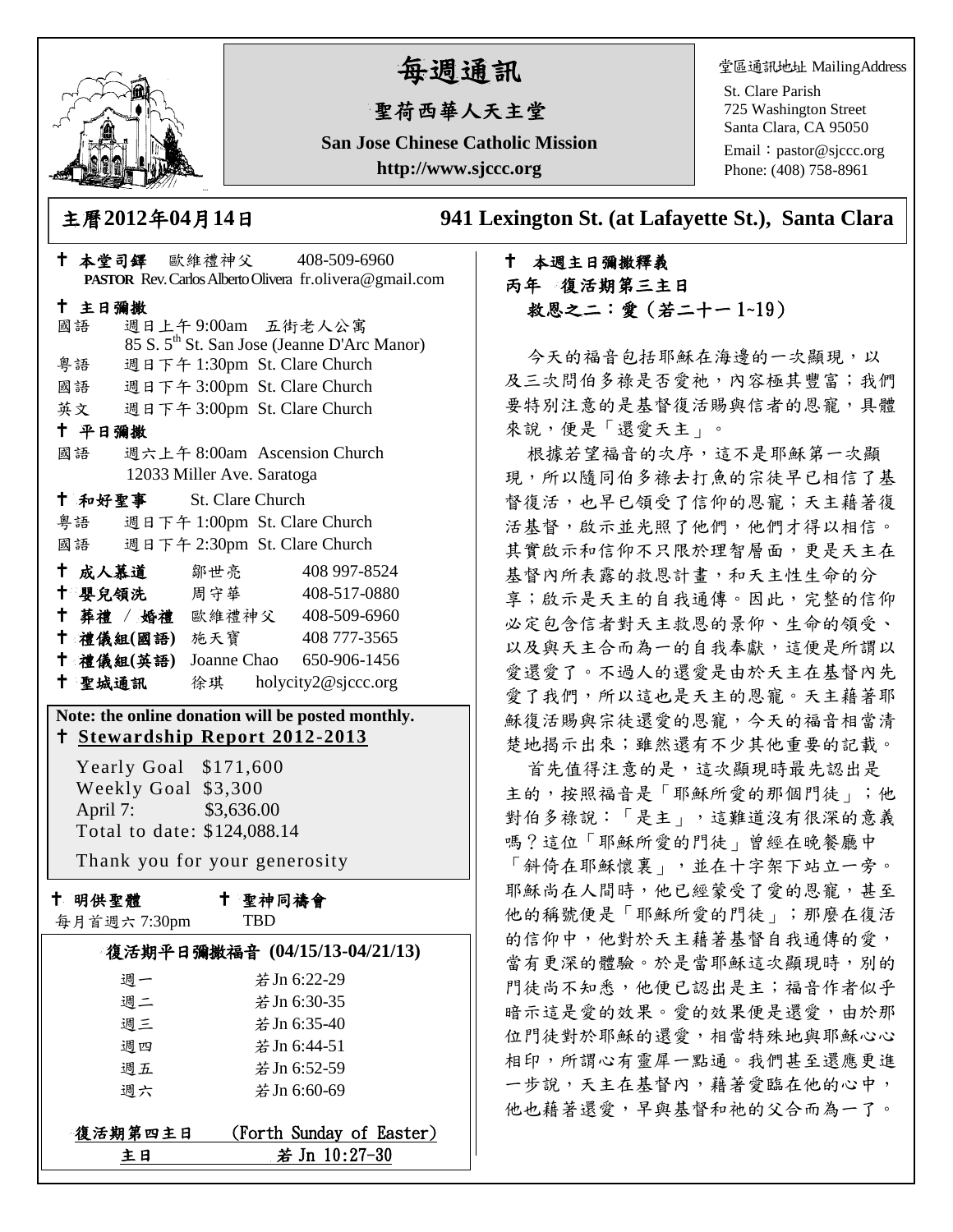

# 每週通訊

# 聖荷西華人天主堂

**San Jose Chinese Catholic Mission http://www.sjccc.org**

堂區通訊地址 MailingAddress

St. Clare Parish 725 Washington Street Santa Clara, CA 95050

Email: [pastor@sjccc.org](mailto:pastor@sjccc.org) Phone: (408) 758-8961

主曆**2012**年**04**月**14**日 **941 Lexington St. (at Lafayette St.), Santa Clara** 

## 本週主日彌撒釋義 丙年 復活期第三主日 救恩之二:愛(若二十一 1~19)

今天的福音包括耶穌在海邊的一次顯現,以 及三次問伯多祿是否愛祂,內容極其豐富;我們 要特別注意的是基督復活賜與信者的恩寵,具體 來說,便是「還愛天主」。

根據若望福音的次序,這不是耶穌第一次顯 現,所以隨同伯多祿去打魚的宗徒早已相信了基 督復活,也早已領受了信仰的恩寵;天主藉著復 活基督,啟示並光照了他們,他們才得以相信。 其實啟示和信仰不只限於理智層面,更是天主在 基督內所表露的救恩計畫,和天主性生命的分 享;啟示是天主的自我通傳。因此,完整的信仰 必定包含信者對天主救恩的景仰、生命的領受、 以及與天主合而為一的自我奉獻,這便是所謂以 愛還愛了。不過人的還愛是由於天主在基督內先 愛了我們,所以這也是天主的恩寵。天主藉著耶 穌復活賜與宗徒還愛的恩寵,今天的福音相當清 楚地揭示出來;雖然還有不少其他重要的記載。

首先值得注意的是,這次顯現時最先認出是 主的,按照福音是「耶穌所愛的那個門徒」;他 對伯多祿說:「是主」,這難道沒有很深的意義 嗎?這位「耶穌所愛的門徒」曾經在晚餐廳中 「斜倚在耶穌懷裏」,並在十字架下站立一旁。 耶穌尚在人間時,他已經蒙受了愛的恩寵,甚至 他的稱號便是「耶穌所愛的門徒」;那麼在復活 的信仰中,他對於天主藉著基督自我通傳的愛, 當有更深的體驗。於是當耶穌這次顯現時,別的 門徒尚不知悉,他便已認出是主;福音作者似乎 暗示這是愛的效果。愛的效果便是還愛,由於那 位門徒對於耶穌的還愛,相當特殊地與耶穌心心 相印,所謂心有靈犀一點通。我們甚至還應更進 一步說,天主在基督內,藉著愛臨在他的心中, 他也藉著還愛,早與基督和祂的父合而為一了。

| † 本堂司鐸 歐維禮神父 408-509-6960                                                                  |                              |                                                         |
|--------------------------------------------------------------------------------------------|------------------------------|---------------------------------------------------------|
| PASTOR Rev. Carlos Alberto Olivera fr.olivera@gmail.com                                    |                              |                                                         |
| 十 主日彌撒<br>國語                                                                               | 週日上午9:00am 五街老人公寓            |                                                         |
|                                                                                            |                              | 85 S. 5 <sup>th</sup> St. San Jose (Jeanne D'Arc Manor) |
| 粤語 週日下午 1:30pm St. Clare Church                                                            |                              |                                                         |
| 國語 週日下午 3:00pm St. Clare Church                                                            |                              |                                                         |
| 英文 週日下午 3:00pm St. Clare Church                                                            |                              |                                                         |
| 十 平日彌撒                                                                                     |                              |                                                         |
| 國語                                                                                         | 週六上午 8:00am Ascension Church |                                                         |
| 12033 Miller Ave. Saratoga                                                                 |                              |                                                         |
| † 和好聖事 St. Clare Church                                                                    |                              |                                                         |
| 粤語 週日下午 1:00pm St. Clare Church                                                            |                              |                                                         |
| 國語 週日下午 2:30pm St. Clare Church                                                            |                              |                                                         |
| 十 成人慕道   鄒世亮                                                                               |                              | 408 997-8524                                            |
| † 嬰兒領洗 周守華 408-517-0880                                                                    |                              |                                                         |
| † 葬禮 / 婚禮 歐維禮神父 408-509-6960                                                               |                              |                                                         |
| 十 禮儀組(國語) 施天寶                                                                              |                              | 408 777-3565                                            |
| † 禮儀組(英語) Joanne Chao 650-906-1456                                                         |                              |                                                         |
| + 聖城通訊 徐琪 holycity2@sjccc.org                                                              |                              |                                                         |
| Note: the online donation will be posted monthly.<br><u>† Stewardship Report 2012-2013</u> |                              |                                                         |
| Yearly Goal \$171,600                                                                      |                              |                                                         |
| Weekly Goal \$3,300                                                                        |                              |                                                         |
| April 7: \$3,636.00                                                                        |                              |                                                         |
| Total to date: \$124,088.14                                                                |                              |                                                         |
| Thank you for your generosity                                                              |                              |                                                         |
| 十 明供聖體                                                                                     | ← 聖神同禱會                      |                                                         |
| 每月首週六 7:30pm                                                                               | <b>TBD</b>                   |                                                         |
| 復活期平日彌撒福音 (04/15/13-04/21/13)                                                              |                              |                                                         |
| 週一                                                                                         |                              | 若 Jn 6:22-29                                            |
| 週二                                                                                         |                              | 若 Jn 6:30-35                                            |
| 週三                                                                                         |                              | 若 Jn 6:35-40                                            |
| 週四                                                                                         |                              | 若 Jn 6:44-51                                            |
| 週五                                                                                         |                              | 若 Jn 6:52-59                                            |
| 週六                                                                                         |                              | 若 Jn 6:60-69                                            |
| 復活期第四主日                                                                                    |                              | (Forth Sunday of Easter)                                |

主日 若 Jn 10:27-30